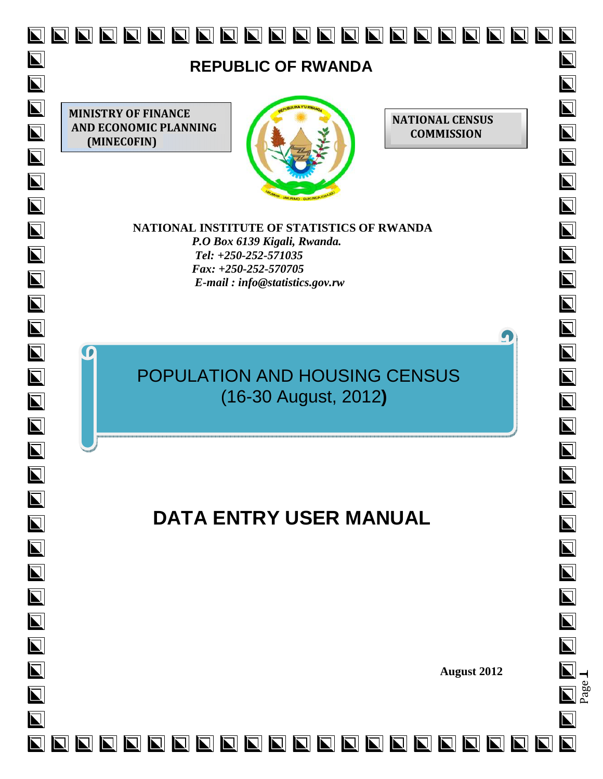

Page <u>| — </u>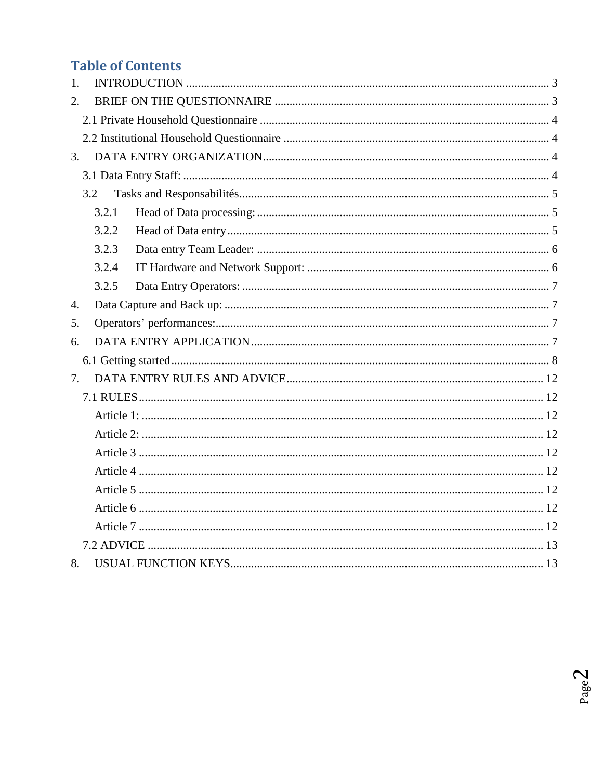# **Table of Contents**

| 1.               |       |  |
|------------------|-------|--|
| 2.               |       |  |
|                  |       |  |
|                  |       |  |
| $\mathfrak{Z}$ . |       |  |
|                  |       |  |
|                  | 3.2   |  |
|                  | 3.2.1 |  |
|                  | 3.2.2 |  |
|                  | 3.2.3 |  |
|                  | 3.2.4 |  |
|                  | 3.2.5 |  |
| $\overline{4}$ . |       |  |
| 5.               |       |  |
| 6.               |       |  |
|                  |       |  |
| 7.               |       |  |
|                  |       |  |
|                  |       |  |
|                  |       |  |
|                  |       |  |
|                  |       |  |
|                  |       |  |
|                  |       |  |
|                  |       |  |
|                  |       |  |
| 8.               |       |  |

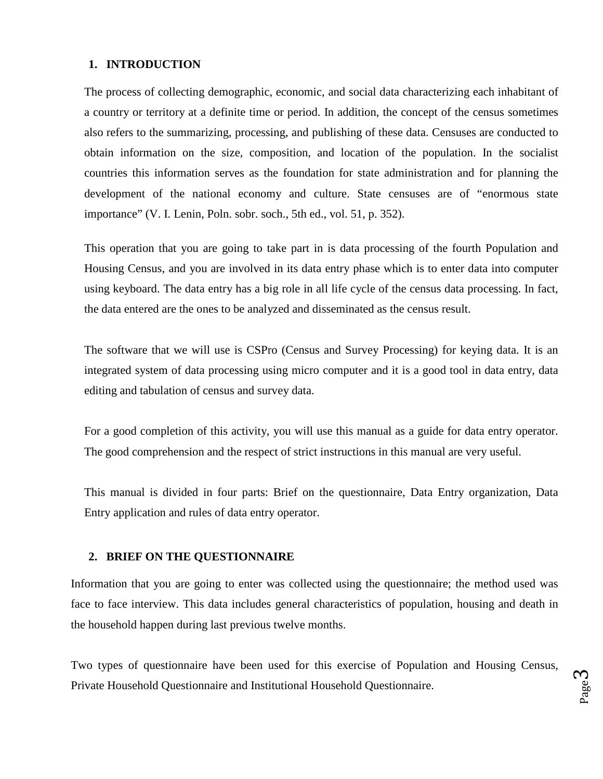#### **1. INTRODUCTION**

The process of collecting demographic, economic, and social data characterizing each inhabitant of a country or territory at a definite time or period. In addition, the concept of the census sometimes also refers to the summarizing, processing, and publishing of these data. Censuses are conducted to obtain information on the size, composition, and location of the population. In the socialist countries this information serves as the foundation for state administration and for planning the development of the national economy and culture. State censuses are of "enormous state importance" (V. I. Lenin, Poln. sobr. soch., 5th ed., vol. 51, p. 352).

This operation that you are going to take part in is data processing of the fourth Population and Housing Census, and you are involved in its data entry phase which is to enter data into computer using keyboard. The data entry has a big role in all life cycle of the census data processing. In fact, the data entered are the ones to be analyzed and disseminated as the census result.

The software that we will use is CSPro (Census and Survey Processing) for keying data. It is an integrated system of data processing using micro computer and it is a good tool in data entry, data editing and tabulation of census and survey data.

For a good completion of this activity, you will use this manual as a guide for data entry operator. The good comprehension and the respect of strict instructions in this manual are very useful.

This manual is divided in four parts: Brief on the questionnaire, Data Entry organization, Data Entry application and rules of data entry operator.

#### **2. BRIEF ON THE QUESTIONNAIRE**

Information that you are going to enter was collected using the questionnaire; the method used was face to face interview. This data includes general characteristics of population, housing and death in the household happen during last previous twelve months.

Two types of questionnaire have been used for this exercise of Population and Housing Census, Private Household Questionnaire and Institutional Household Questionnaire.

Page ო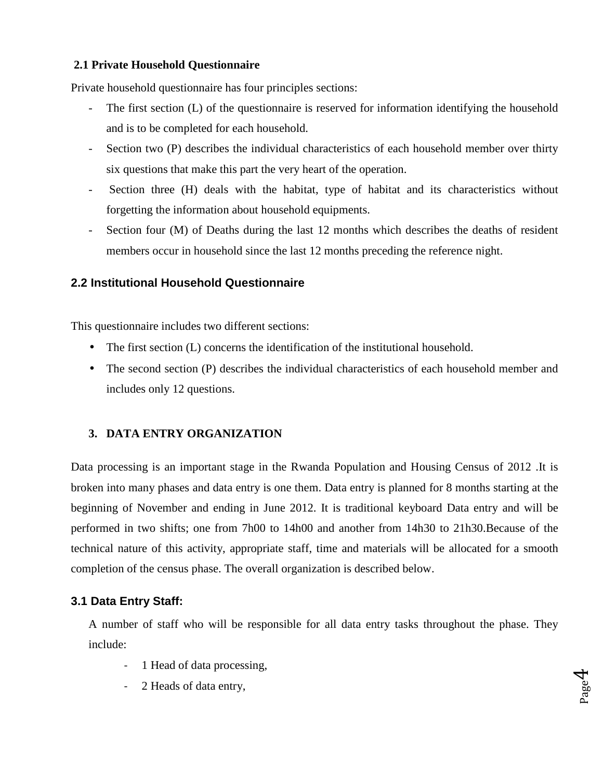#### **2.1 Private Household Questionnaire**

Private household questionnaire has four principles sections:

- The first section (L) of the questionnaire is reserved for information identifying the household and is to be completed for each household.
- Section two (P) describes the individual characteristics of each household member over thirty six questions that make this part the very heart of the operation.
- Section three (H) deals with the habitat, type of habitat and its characteristics without forgetting the information about household equipments.
- Section four (M) of Deaths during the last 12 months which describes the deaths of resident members occur in household since the last 12 months preceding the reference night.

#### **2.2 Institutional Household Questionnaire**

This questionnaire includes two different sections:

- The first section (L) concerns the identification of the institutional household.
- The second section (P) describes the individual characteristics of each household member and includes only 12 questions.

#### **3. DATA ENTRY ORGANIZATION**

Data processing is an important stage in the Rwanda Population and Housing Census of 2012 .It is broken into many phases and data entry is one them. Data entry is planned for 8 months starting at the beginning of November and ending in June 2012. It is traditional keyboard Data entry and will be performed in two shifts; one from 7h00 to 14h00 and another from 14h30 to 21h30.Because of the technical nature of this activity, appropriate staff, time and materials will be allocated for a smooth completion of the census phase. The overall organization is described below.

### **3.1 Data Entry Staff:**

A number of staff who will be responsible for all data entry tasks throughout the phase. They include:

> Page 4

- 1 Head of data processing,
- 2 Heads of data entry,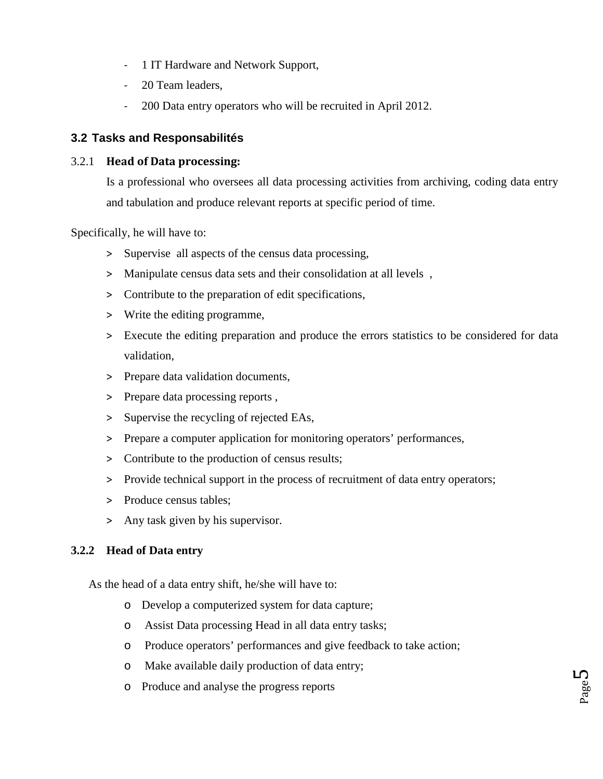- 1 IT Hardware and Network Support,
- 20 Team leaders,
- 200 Data entry operators who will be recruited in April 2012.

## **3.2 Tasks and Responsabilités**

#### 3.2.1 **Head of Data processing:**

Is a professional who oversees all data processing activities from archiving, coding data entry and tabulation and produce relevant reports at specific period of time.

Specifically, he will have to:

- > Supervise all aspects of the census data processing,
- > Manipulate census data sets and their consolidation at all levels ,
- > Contribute to the preparation of edit specifications,
- > Write the editing programme,
- > Execute the editing preparation and produce the errors statistics to be considered for data validation,
- > Prepare data validation documents,
- > Prepare data processing reports ,
- > Supervise the recycling of rejected EAs,
- > Prepare a computer application for monitoring operators' performances,
- > Contribute to the production of census results;
- > Provide technical support in the process of recruitment of data entry operators;
- > Produce census tables;
- > Any task given by his supervisor.

### **3.2.2 Head of Data entry**

As the head of a data entry shift, he/she will have to:

- o Develop a computerized system for data capture;
- o Assist Data processing Head in all data entry tasks;
- o Produce operators' performances and give feedback to take action;
- o Make available daily production of data entry;
- o Produce and analyse the progress reports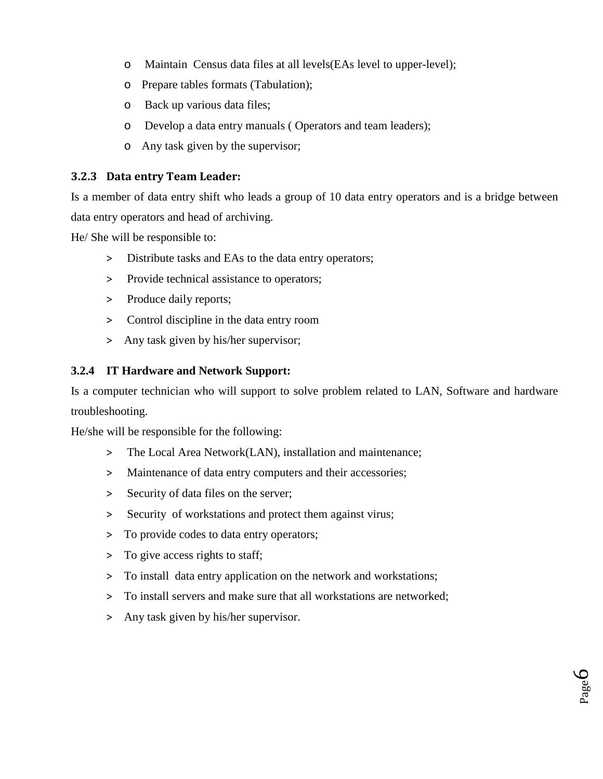- o Maintain Census data files at all levels(EAs level to upper-level);
- o Prepare tables formats (Tabulation);
- o Back up various data files;
- o Develop a data entry manuals ( Operators and team leaders);
- o Any task given by the supervisor;

#### **3.2.3 Data entry Team Leader:**

Is a member of data entry shift who leads a group of 10 data entry operators and is a bridge between data entry operators and head of archiving.

He/ She will be responsible to:

- > Distribute tasks and EAs to the data entry operators;
- > Provide technical assistance to operators;
- > Produce daily reports;
- > Control discipline in the data entry room
- > Any task given by his/her supervisor;

#### **3.2.4 IT Hardware and Network Support:**

Is a computer technician who will support to solve problem related to LAN, Software and hardware troubleshooting.

He/she will be responsible for the following:

- > The Local Area Network(LAN), installation and maintenance;
- > Maintenance of data entry computers and their accessories;
- > Security of data files on the server;
- > Security of workstations and protect them against virus;
- > To provide codes to data entry operators;
- > To give access rights to staff;
- > To install data entry application on the network and workstations;
- > To install servers and make sure that all workstations are networked;

Page 6

> Any task given by his/her supervisor.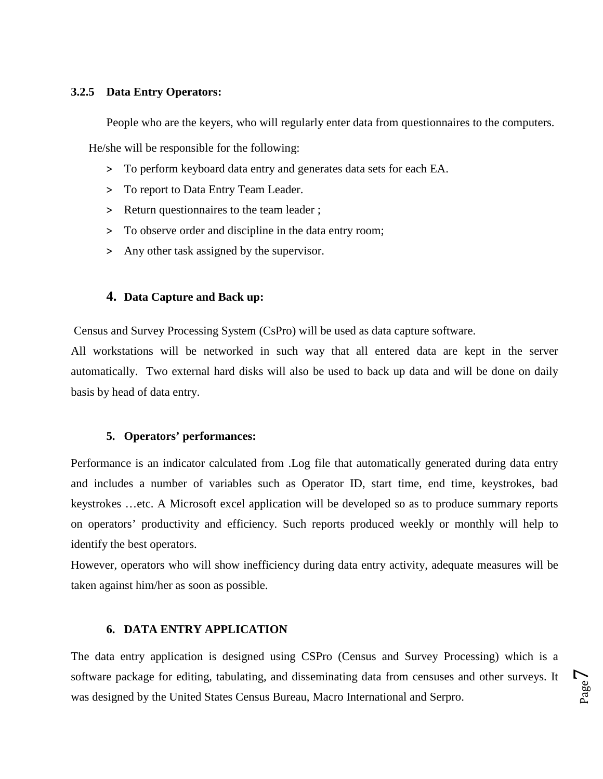#### **3.2.5 Data Entry Operators:**

People who are the keyers, who will regularly enter data from questionnaires to the computers.

He/she will be responsible for the following:

- > To perform keyboard data entry and generates data sets for each EA.
- > To report to Data Entry Team Leader.
- > Return questionnaires to the team leader ;
- > To observe order and discipline in the data entry room;
- > Any other task assigned by the supervisor.

#### **4. Data Capture and Back up:**

Census and Survey Processing System (CsPro) will be used as data capture software.

All workstations will be networked in such way that all entered data are kept in the server automatically. Two external hard disks will also be used to back up data and will be done on daily basis by head of data entry.

#### **5. Operators' performances:**

Performance is an indicator calculated from .Log file that automatically generated during data entry and includes a number of variables such as Operator ID, start time, end time, keystrokes, bad keystrokes …etc. A Microsoft excel application will be developed so as to produce summary reports on operators' productivity and efficiency. Such reports produced weekly or monthly will help to identify the best operators.

However, operators who will show inefficiency during data entry activity, adequate measures will be taken against him/her as soon as possible.

#### **6. DATA ENTRY APPLICATION**

The data entry application is designed using CSPro (Census and Survey Processing) which is a software package for editing, tabulating, and disseminating data from censuses and other surveys. It was designed by the United States Census Bureau, Macro International and Serpro.

Page  $\overline{\phantom{0}}$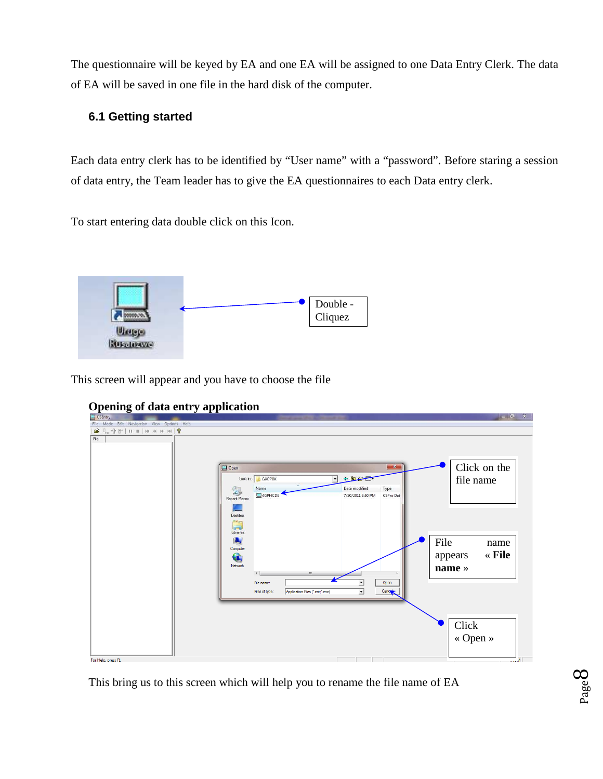The questionnaire will be keyed by EA and one EA will be assigned to one Data Entry Clerk. The data of EA will be saved in one file in the hard disk of the computer.

## **6.1 Getting started**

Each data entry clerk has to be identified by "User name" with a "password". Before staring a session of data entry, the Team leader has to give the EA questionnaires to each Data entry clerk.

To start entering data double click on this Icon.



This screen will appear and you have to choose the file



## **Opening of data entry application**

This bring us to this screen which will help you to rename the file name of EA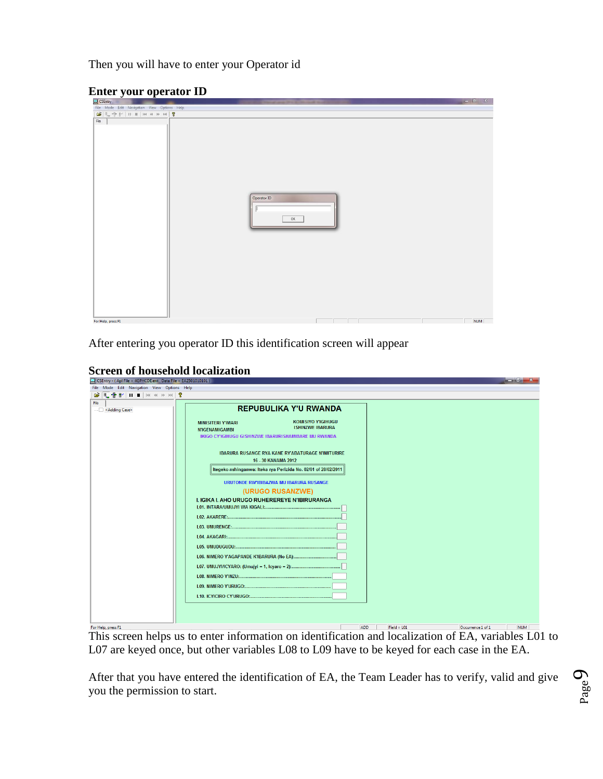Then you will have to enter your Operator id

#### **Enter your operator ID**

| $\Box$ CSEntry                              |                     |            |
|---------------------------------------------|---------------------|------------|
| File Mode Edit Navigation View Options Help |                     |            |
|                                             |                     |            |
| $_{\rm{File}}$                              | Operator ID<br>$0K$ |            |
| For Help, press F1                          |                     | <b>NUM</b> |

After entering you operator ID this identification screen will appear

|  |  |  | <b>Screen of household localization</b> |
|--|--|--|-----------------------------------------|
|--|--|--|-----------------------------------------|

| $\rightarrow$ CSENTY - (April File = 40PHCDE.ent , Data File = EAZ301010101 ) |                                                                                                                                                                                                                                                                                                                                                                                                                                                                                                     |                                                                                                      |
|-------------------------------------------------------------------------------|-----------------------------------------------------------------------------------------------------------------------------------------------------------------------------------------------------------------------------------------------------------------------------------------------------------------------------------------------------------------------------------------------------------------------------------------------------------------------------------------------------|------------------------------------------------------------------------------------------------------|
|                                                                               |                                                                                                                                                                                                                                                                                                                                                                                                                                                                                                     |                                                                                                      |
|                                                                               |                                                                                                                                                                                                                                                                                                                                                                                                                                                                                                     |                                                                                                      |
| File Mode Edit Navigation View Options Help<br><b>BETHING HAR</b><br>File     | <b>REPUBULIKA Y'U RWANDA</b><br><b>KOMISIYO Y'IGIHUGU</b><br><b>MINISITERI Y'IMARI</b><br><b>ISHINZWE IBARURA</b><br><b>N'IGENAMIGAMBI</b><br>IKIGO CY'IGIHUGU GISHINZWE IBARURISHAMIBARE MU RWANDA<br><b>IBARURA RUSANGE RYA KANE RY'ABATURAGE N'IMITURIRE</b><br>16 - 30 KANAMA 2012<br>Itegeko-nshinganwa: Iteka rya Perizida No. 02/01 of 28/02/2011<br>URUTONDE RW'IBIBAZWA MU IBARURA RUSANGE<br>(URUGO RUSANZWE)<br>I. IGIKA I. AHO URUGO RUHEREREYE N'IBIRURANGA                            |                                                                                                      |
|                                                                               |                                                                                                                                                                                                                                                                                                                                                                                                                                                                                                     |                                                                                                      |
| For Help, press F1<br>ти ·                                                    | <b>ADD</b><br>$\mathbf{1} \quad \mathbf{1} \quad \mathbf{1} \quad \mathbf{1} \quad \mathbf{1} \quad \mathbf{1} \quad \mathbf{1} \quad \mathbf{1} \quad \mathbf{1} \quad \mathbf{1} \quad \mathbf{1} \quad \mathbf{1} \quad \mathbf{1} \quad \mathbf{1} \quad \mathbf{1} \quad \mathbf{1} \quad \mathbf{1} \quad \mathbf{1} \quad \mathbf{1} \quad \mathbf{1} \quad \mathbf{1} \quad \mathbf{1} \quad \mathbf{1} \quad \mathbf{1} \quad \mathbf{1} \quad \mathbf{1} \quad \mathbf{1} \quad \mathbf{$ | $Field = L01$<br>Occurrence 1 of 1<br><b>NUM</b><br>$\cdot$ 11 T $\alpha$ 1<br>$C \nightharpoonup A$ |

This screen helps us to enter information on identification and localization of EA, variables L01 to L07 are keyed once, but other variables L08 to L09 have to be keyed for each case in the EA.

After that you have entered the identification of EA, the Team Leader has to verify, valid and give you the permission to start.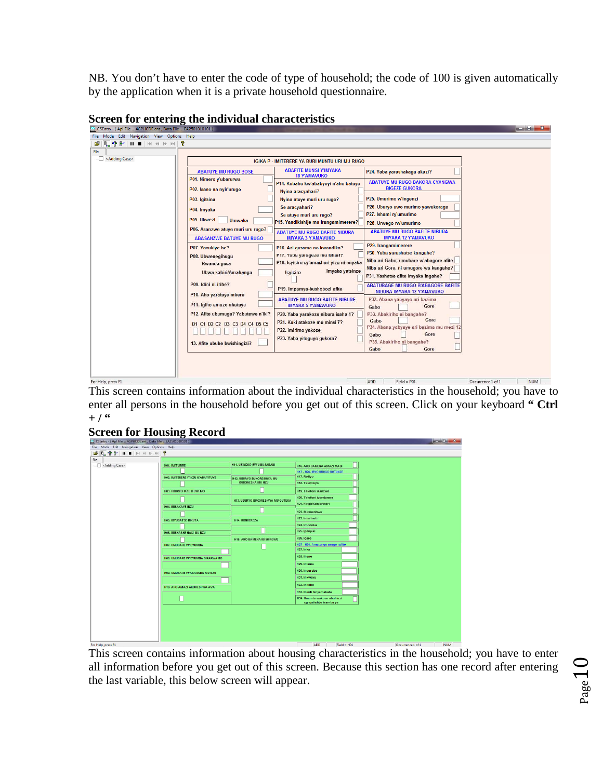NB. You don't have to enter the code of type of household; the code of 100 is given automatically by the application when it is a private household questionnaire.

| CSEntry - (Apl File = 4GPHCDE.ent, Data File = EA2501010101) |                                                                   |                                                                                                                                                                                                                         |                                                                                 |                                 |
|--------------------------------------------------------------|-------------------------------------------------------------------|-------------------------------------------------------------------------------------------------------------------------------------------------------------------------------------------------------------------------|---------------------------------------------------------------------------------|---------------------------------|
| File Mode Edit Navigation View Options Help                  |                                                                   |                                                                                                                                                                                                                         |                                                                                 |                                 |
|                                                              |                                                                   |                                                                                                                                                                                                                         |                                                                                 |                                 |
| File                                                         |                                                                   |                                                                                                                                                                                                                         |                                                                                 |                                 |
| - < Adding Case>                                             |                                                                   | <b>IGIKA P - IMITERERE YA BURI MUNTU URI MU RUGO</b>                                                                                                                                                                    |                                                                                 |                                 |
|                                                              | <b>ABATUYE MU RUGO BOSE</b>                                       | <b>ABAFITE MUNSI Y'IMYAKA</b><br><b>18 Y'AMAVUKO</b>                                                                                                                                                                    | P24. Yaba yarashakaga akazi?                                                    |                                 |
|                                                              | P01. Nimero y'ubarurwa<br>P02. Isano na nyir'urugo                | P14. Kubaho kw'ababyeyi n'aho batuye<br>Nyina aracyahari?                                                                                                                                                               | <b>ABATUYE MU RUGO BAKORA CYANGWA</b><br><b>BIGEZE GUKORA</b>                   |                                 |
|                                                              | P03. Igitsina                                                     | Nyina atuye muri uru rugo?                                                                                                                                                                                              | P25. Umurimo w'ingenzi                                                          |                                 |
|                                                              | P04. Imyaka                                                       | Se aracyahari?<br>Se atuve muri uru rugo?                                                                                                                                                                               | P26. Uburyo uwo murimo yawukoraga<br>P27. Ishami ry'umurimo                     |                                 |
|                                                              | P05. Ukwezi<br><b>Umwaka</b><br>P06. Asanzwe atuye muri uru rugo? | P15. Yandikishije mu irangamimerere?                                                                                                                                                                                    | P28. Urwego rw'umurimo                                                          |                                 |
|                                                              | <b>ABASANZWE BATUYE MU RUGO</b>                                   | <b>ABATUYE MU RUGO BAFITE NIBURA</b><br><b>IMYAKA 3 Y'AMAVUKO</b>                                                                                                                                                       | <b>ABATUYE MU RUGO BAFITE NIBURA</b><br><b>IMYAKA 12 Y'AMAVUKO</b>              |                                 |
|                                                              | P07. Yavukiye he?<br>P08. Ubwenegihugu                            | P16. Azi gusoma no kwandika?<br>P17. Yaba yarageze mu Ishuri?<br>P18. Icylciro cy'amashuri yize ni imyaka<br>Imyaka yatsinze<br><b>lcyiciro</b><br>P19. Impamya-bushobozi afite<br><b>ABATUYE MU RUGO BAFITE NIBURE</b> | P29. Irangamimerere<br>P30. Yaba yarashatse kangahe?                            |                                 |
|                                                              | Rwanda gusa<br>Ubwa kabiri/Amahanga                               |                                                                                                                                                                                                                         | Niba ari Gabo, umubare w'abaqore afite<br>Niba ari Gore, ni umugore wa kangahe? |                                 |
|                                                              | P09. Idini ni irihe?                                              |                                                                                                                                                                                                                         | P31. Yashatse afite imyaka inqahe?<br><b>ABATURAGE MU RUGO B'ABAGORE BAFITE</b> |                                 |
|                                                              | P10. Aho yaratuye mbere                                           |                                                                                                                                                                                                                         | NIBURA IMYAKA 12 Y'AMAVUKO<br>P32. Abana yabyaye ari bazima                     |                                 |
|                                                              | P11. Igihe amaze ahatuye                                          | <b>IMYAKA 5 Y'AMAVUKO</b>                                                                                                                                                                                               | Gore<br>Gabo                                                                    |                                 |
|                                                              | P12. Afite ubumuga? Yabutewe n'iki?                               | P20. Yaba yarakoze nibura isaha 1?<br>P21. Kuki atakoze mu minsi 7?                                                                                                                                                     | P33. Abakiriho ni bangahe?<br>Gore<br>Gabo                                      |                                 |
|                                                              | D1 C1 D2 C2 D3 C3 D4 C4 D5 C5                                     | P22. Imirimo yakoze                                                                                                                                                                                                     | P34. Abana yabyaye ari bazima mu mezi 12<br>Gore<br>Gabo                        |                                 |
|                                                              | 13. Afite ubuhe bwishingizi?                                      | P23. Yaba yiteguye gukora?                                                                                                                                                                                              | P35. Abakiriho ni bangahe?<br>Gabo<br>Gore                                      |                                 |
|                                                              |                                                                   |                                                                                                                                                                                                                         |                                                                                 |                                 |
| For Help, press F1                                           |                                                                   |                                                                                                                                                                                                                         | ADD<br>$Field = PO1$                                                            | Occurrence 1 of 1<br><b>NUM</b> |

**Screen for entering the individual characteristics** 

This screen contains information about the individual characteristics in the household; you have to enter all persons in the household before you get out of this screen. Click on your keyboard **" Ctrl**   $+ /$  <sup>66</sup>

#### **Screen for Housing Record**

| CSEntry - (Apl File = 4GPHCDE.ent, Data File = EA2501010101) |                                   |                                          |                                                       |                   | $-0$ X     |
|--------------------------------------------------------------|-----------------------------------|------------------------------------------|-------------------------------------------------------|-------------------|------------|
| File Mode Edit Navigation View Options Help                  |                                   |                                          |                                                       |                   |            |
|                                                              |                                   |                                          |                                                       |                   |            |
| File                                                         |                                   |                                          |                                                       |                   |            |
| - Adding Case>                                               | <b>HO1. IMITURIRE</b>             | H11. UBWOKO BW'UMUSARANI                 | H16. AHO BAMENA AMAZI MABI                            |                   |            |
|                                                              |                                   |                                          | H17 - H26. IBYO URUGO RUTUNZE                         |                   |            |
|                                                              | HO2. IMITERERE Y'INZU N'ABAYITUYE | <b>H12. UBURYO BUKORE SHWA MU</b>        | H17. Radiyo                                           |                   |            |
|                                                              |                                   | <b>KUBONESHA MU NZU</b>                  | H18. Televiziyo                                       |                   |            |
|                                                              | <b>H03. UBURYO INZU ITUWEMO</b>   |                                          | H19. Telefoni isanzwe                                 |                   |            |
|                                                              |                                   |                                          | H20. Telefoni igendanwa                               |                   |            |
|                                                              | <b>H04. IBISAKAYE INZU</b>        | <b>H13. UBURYO BUKORE SHWA MU GUTEKA</b> | H21. Firigo/Konjerateri                               |                   |            |
|                                                              |                                   |                                          | H22. Musasobwa                                        |                   |            |
|                                                              | <b>H05, IBYUBAT SE INKUTA</b>     | <b>H14, RONDEREZA</b>                    | H23. Interineti                                       |                   |            |
|                                                              |                                   |                                          | H24. Imodoka                                          |                   |            |
|                                                              | HO6. IBISHASHE HASI MU NZU        |                                          | H25. Ipikipiki                                        |                   |            |
|                                                              |                                   | H15, AHO BAMENA IBISHINGWE               | H26. Igare                                            |                   |            |
|                                                              | H07. UMUBARE W'IBYUMBA            |                                          | H27 - H34. Amatungo urugo rufite                      |                   |            |
|                                                              |                                   |                                          | H27. Inka                                             |                   |            |
|                                                              | H08. UMUBARE W'IBYUMBA BIRARWAMO  |                                          | H28. Ihene                                            |                   |            |
|                                                              |                                   |                                          | H29. Intama                                           |                   |            |
|                                                              | H09. UMUBARE W'ABARARA MU NZU     |                                          | H30. Inqurube                                         |                   |            |
|                                                              |                                   |                                          | H31. Inkwavu                                          |                   |            |
|                                                              | H10. AHO AMAZI AKORESHWA AVA      |                                          | H32. Inkoko                                           |                   |            |
|                                                              |                                   |                                          | H33. Ibindi binyamababa                               |                   |            |
|                                                              |                                   |                                          | H34. Umuntu wakoze ubuhinzi<br>cq watishije isambu ye |                   |            |
|                                                              |                                   |                                          |                                                       |                   |            |
| For Help, press F1                                           |                                   |                                          | ADD<br>$Field = H01$                                  | Occurrence 1 of 1 | <b>NUM</b> |

This screen contains information about housing characteristics in the household; you have to enter all information before you get out of this screen. Because this section has one record after entering the last variable, this below screen will appear.

$$
_{\rm Page}10
$$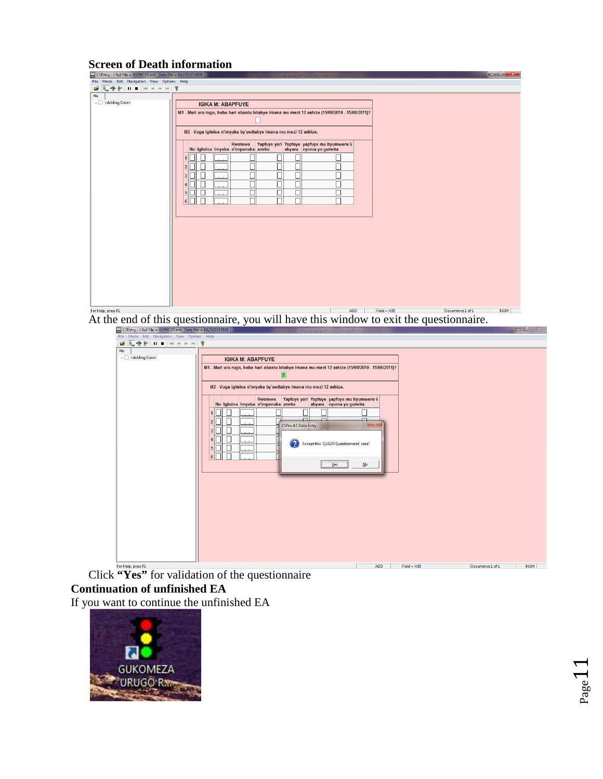## **Screen of Death information**

| CSEntry - (Apl File = 4GPHCDE.ent, Data File = EA2501010101) |                                                                                                                          |                                 |  |
|--------------------------------------------------------------|--------------------------------------------------------------------------------------------------------------------------|---------------------------------|--|
| File Mode Edit Navigation View Options Help                  |                                                                                                                          |                                 |  |
|                                                              |                                                                                                                          |                                 |  |
| ${\sf File}$                                                 |                                                                                                                          |                                 |  |
| - < Adding Case>                                             | <b>IGIKA M: ABAPFUYE</b>                                                                                                 |                                 |  |
|                                                              | M1 - Muri uru rugo, haba hari abantu bitabye Imana mu mezi 12 ashize (15/08/2010 - 15/08/2011)?                          |                                 |  |
|                                                              |                                                                                                                          |                                 |  |
|                                                              | M2 - Vuga igitsina n'imyaka by'uwitabye Imana mu mezi 12 ashize.                                                         |                                 |  |
|                                                              | Yapfuye yari Yapfuye yapfuye mu byumweru 6<br>Rwatewe<br>No Igitsina Imyaka n'impanuka atwite<br>abyara nyuma yo gutwita |                                 |  |
|                                                              |                                                                                                                          |                                 |  |
|                                                              | г                                                                                                                        |                                 |  |
|                                                              |                                                                                                                          |                                 |  |
|                                                              | С<br>4                                                                                                                   |                                 |  |
|                                                              | С<br>5 <sup>1</sup>                                                                                                      |                                 |  |
|                                                              | П<br>$\vert 6 \vert$                                                                                                     |                                 |  |
|                                                              |                                                                                                                          |                                 |  |
|                                                              |                                                                                                                          |                                 |  |
|                                                              |                                                                                                                          |                                 |  |
|                                                              |                                                                                                                          |                                 |  |
|                                                              |                                                                                                                          |                                 |  |
|                                                              |                                                                                                                          |                                 |  |
|                                                              |                                                                                                                          |                                 |  |
|                                                              |                                                                                                                          |                                 |  |
|                                                              |                                                                                                                          |                                 |  |
|                                                              |                                                                                                                          |                                 |  |
|                                                              |                                                                                                                          |                                 |  |
|                                                              |                                                                                                                          |                                 |  |
| For Help, press F1                                           | ADD<br>$Field = H35$                                                                                                     | <b>NUM</b><br>Occurrence 1 of 1 |  |

At the end of this questionnaire, you will have this window to exit the questionnaire.

| File Mode Edit Navigation View Options Help |                                                                                                                                                                                                                                                                                                                                                                                                                                                                       |
|---------------------------------------------|-----------------------------------------------------------------------------------------------------------------------------------------------------------------------------------------------------------------------------------------------------------------------------------------------------------------------------------------------------------------------------------------------------------------------------------------------------------------------|
|                                             |                                                                                                                                                                                                                                                                                                                                                                                                                                                                       |
| File                                        |                                                                                                                                                                                                                                                                                                                                                                                                                                                                       |
| - < Adding Case>                            | <b>IGIKA M: ABAPFUYE</b><br>M1 - Muri uru rugo, haba hari abantu bitabye Imana mu mezi 12 ashize (15/08/2010 - 15/08/2011)?<br> 2 <br>M2 - Vuga igitsina n'imyaka by'uwitabye Imana mu mezi 12 ashize.<br>Rwatewe<br>Yapfuye yari Yapfuye yapfuye mu byumweru 6<br>No Igitsina Imyaka n'impanuka atwite<br>abyara nyuma yo gutwita<br><b>COL</b><br>D.<br>$\sqrt{2}$<br>2<br>CSPro 4.1 Data Entry<br>$\sim$<br>3<br>2<br>Accept this 'QUEST/Questionnaire' case?<br>5 |
|                                             | $\overline{6}\overline{1}$<br>Yes<br>$\underline{\sf No}$                                                                                                                                                                                                                                                                                                                                                                                                             |
| For Help, press F1                          | ADD<br><b>NUM</b><br>$Field = H35$<br>Occurrence 1 of 1                                                                                                                                                                                                                                                                                                                                                                                                               |
|                                             | $(45.7 - 9)$ for $-11.1 - 11$ and $-11.1 - 11$<br>$\bullet$                                                                                                                                                                                                                                                                                                                                                                                                           |

Click **"Yes"** for validation of the questionnaire **Continuation of unfinished EA** 

If you want to continue the unfinished EA



 $-1$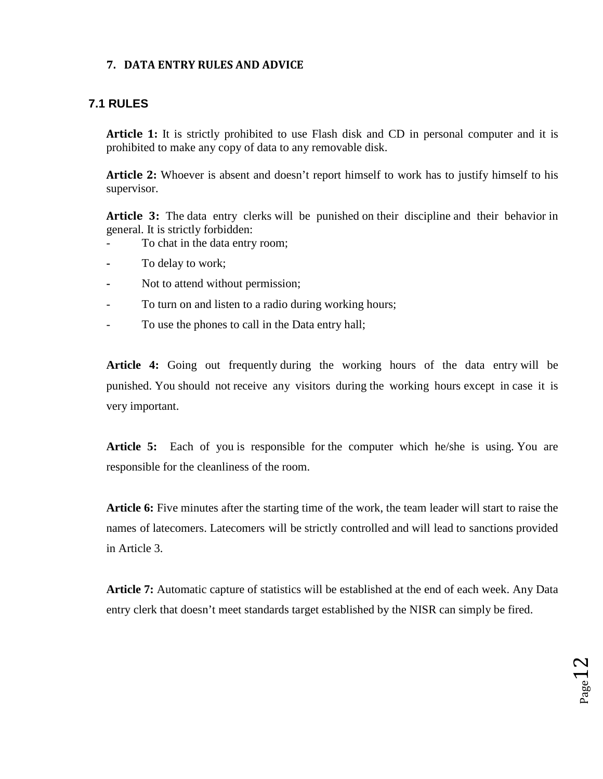#### **7. DATA ENTRY RULES AND ADVICE**

### **7.1 RULES**

Article 1: It is strictly prohibited to use Flash disk and CD in personal computer and it is prohibited to make any copy of data to any removable disk.

**Article 2:** Whoever is absent and doesn't report himself to work has to justify himself to his supervisor.

**Article 3:** The data entry clerks will be punished on their discipline and their behavior in general. It is strictly forbidden:

- To chat in the data entry room;
- **-** To delay to work;
- **-** Not to attend without permission;
- To turn on and listen to a radio during working hours;
- To use the phones to call in the Data entry hall;

**Article 4:** Going out frequently during the working hours of the data entry will be punished. You should not receive any visitors during the working hours except in case it is very important.

**Article 5:** Each of you is responsible for the computer which he/she is using. You are responsible for the cleanliness of the room.

**Article 6:** Five minutes after the starting time of the work, the team leader will start to raise the names of latecomers. Latecomers will be strictly controlled and will lead to sanctions provided in Article 3.

**Article 7:** Automatic capture of statistics will be established at the end of each week. Any Data entry clerk that doesn't meet standards target established by the NISR can simply be fired.

 $_{\rm Page}12$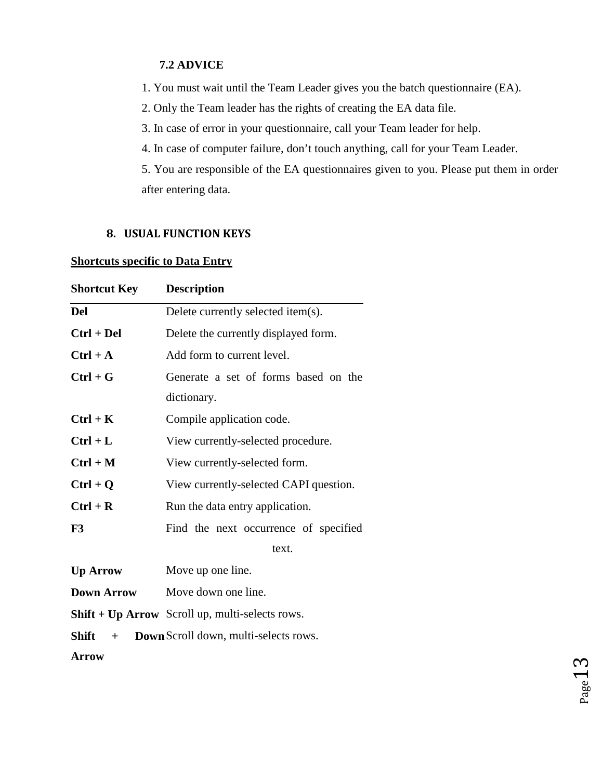#### **7.2 ADVICE**

1. You must wait until the Team Leader gives you the batch questionnaire (EA).

2. Only the Team leader has the rights of creating the EA data file.

- 3. In case of error in your questionnaire, call your Team leader for help.
- 4. In case of computer failure, don't touch anything, call for your Team Leader.

5. You are responsible of the EA questionnaires given to you. Please put them in order after entering data.

#### **8. USUAL FUNCTION KEYS**

#### **Shortcuts specific to Data Entry**

| <b>Shortcut Key</b> | <b>Description</b>                                     |
|---------------------|--------------------------------------------------------|
| <b>Del</b>          | Delete currently selected item(s).                     |
| $Ctrl + Del$        | Delete the currently displayed form.                   |
| $Ctrl + A$          | Add form to current level.                             |
| $Ctrl + G$          | Generate a set of forms based on the                   |
|                     | dictionary.                                            |
| $Ctrl + K$          | Compile application code.                              |
| $Ctrl + L$          | View currently-selected procedure.                     |
| $Ctrl + M$          | View currently-selected form.                          |
| $Ctrl + Q$          | View currently-selected CAPI question.                 |
| $Ctrl + R$          | Run the data entry application.                        |
| F3                  | Find the next occurrence of specified                  |
|                     | text.                                                  |
| <b>Up Arrow</b>     | Move up one line.                                      |
| <b>Down Arrow</b>   | Move down one line.                                    |
|                     | <b>Shift + Up Arrow</b> Scroll up, multi-selects rows. |
| <b>Shift</b><br>$+$ | Down Scroll down, multi-selects rows.                  |
| <b>Arrow</b>        |                                                        |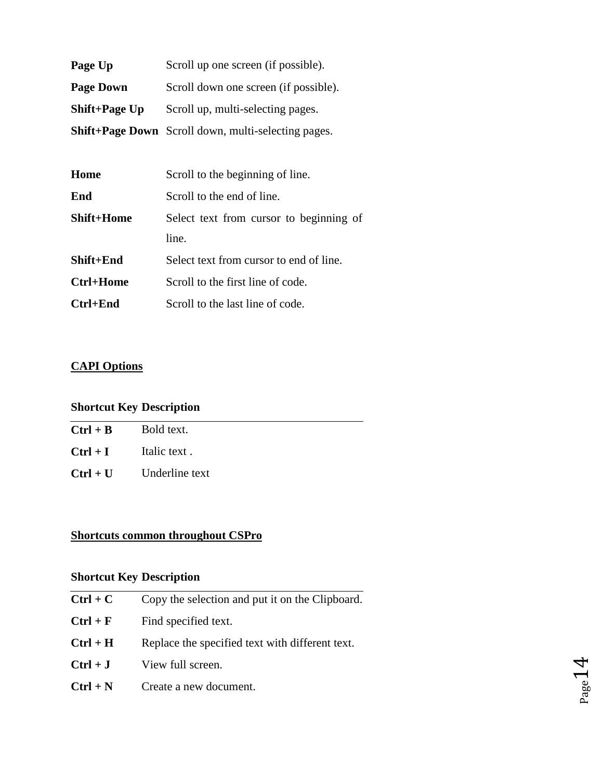| Page Up          | Scroll up one screen (if possible).                        |
|------------------|------------------------------------------------------------|
| <b>Page Down</b> | Scroll down one screen (if possible).                      |
| Shift+Page Up    | Scroll up, multi-selecting pages.                          |
|                  | <b>Shift+Page Down</b> Scroll down, multi-selecting pages. |

| Home              | Scroll to the beginning of line.        |
|-------------------|-----------------------------------------|
| End               | Scroll to the end of line.              |
| <b>Shift+Home</b> | Select text from cursor to beginning of |
|                   | line.                                   |
| Shift+End         | Select text from cursor to end of line. |
| Ctrl+Home         | Scroll to the first line of code.       |
| $Ctrl+End$        | Scroll to the last line of code.        |

## **CAPI Options**

## **Shortcut Key Description**

| $Ctrl + B$              | Bold text.     |
|-------------------------|----------------|
| $Ctrl + I$ Italic text. |                |
| $Ctrl + U$              | Underline text |
|                         |                |

 $\overline{\phantom{0}}$ 

## **Shortcuts common throughout CSPro**

## **Shortcut Key Description**

| $Ctrl + C$ | Copy the selection and put it on the Clipboard. |
|------------|-------------------------------------------------|
| $Ctrl + F$ | Find specified text.                            |
| $Ctrl + H$ | Replace the specified text with different text. |
| $Ctrl + J$ | View full screen.                               |
| $Ctrl + N$ | Create a new document.                          |

$$
_{\rm Page}14
$$